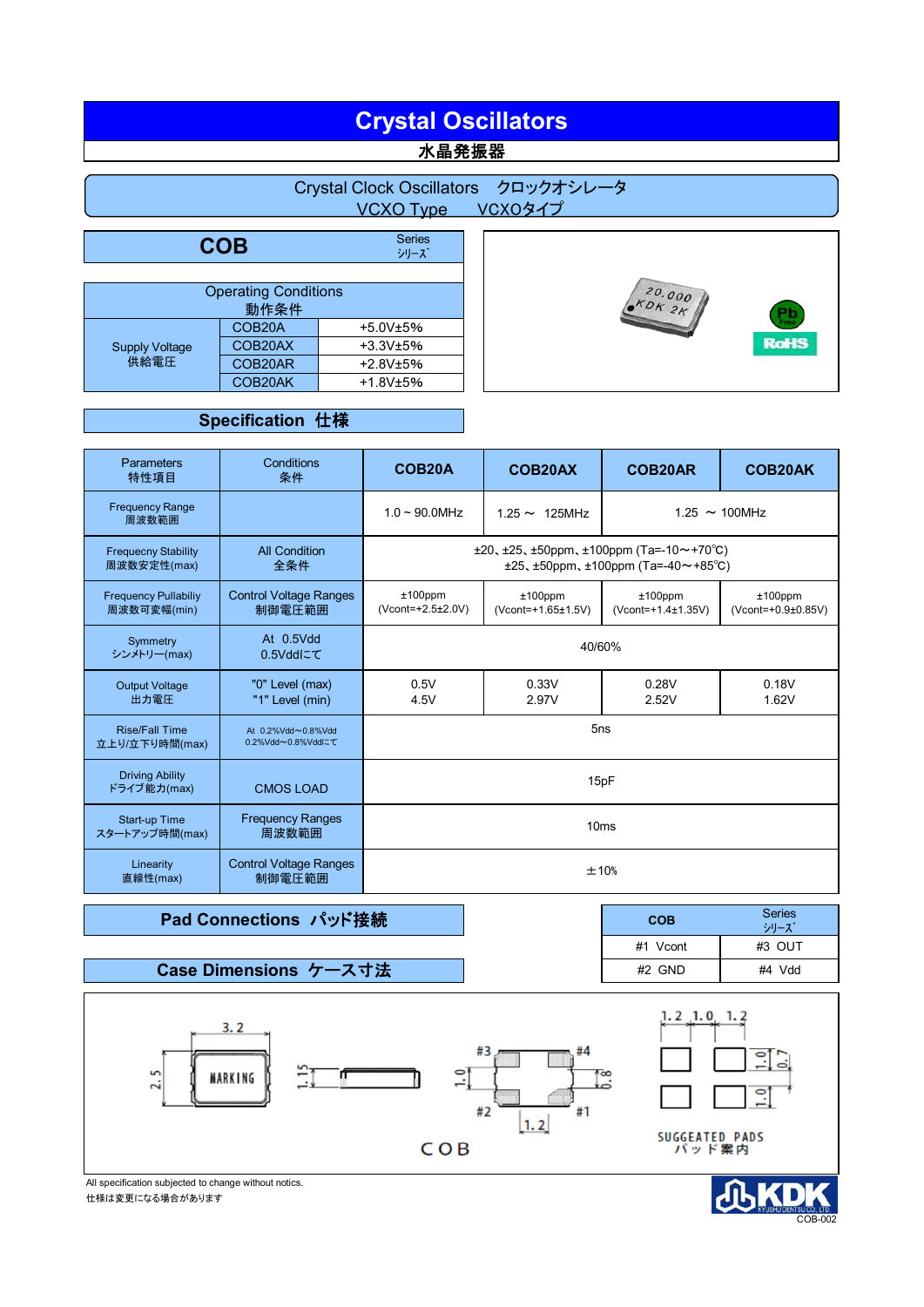# **Crystal Oscillators** <mark>水晶発振器</mark>

## Crystal Clock Oscillators クロックオシレータ VCXO Type VCXOタイプ

| <b>COB</b>                    | <b>Series</b><br>シリーズ |            |  |  |
|-------------------------------|-----------------------|------------|--|--|
|                               |                       |            |  |  |
| <b>Operating Conditions</b>   |                       |            |  |  |
| 動作条件                          |                       |            |  |  |
| <b>Supply Voltage</b><br>供給電圧 | COB <sub>20</sub> A   | $+5.0V±5%$ |  |  |
|                               | COB20AX               | $+3.3V±5%$ |  |  |
|                               | COB20AR               | $+2.8V±5%$ |  |  |
|                               | COB20AK               | $+1.8V±5%$ |  |  |

### **Specification** 仕様

| <b>Parameters</b><br>特性項目                  | Conditions<br>条件                        | COB <sub>20</sub> A                                                                                              | COB20AX                          | COB20AR                          | COB20AK                          |
|--------------------------------------------|-----------------------------------------|------------------------------------------------------------------------------------------------------------------|----------------------------------|----------------------------------|----------------------------------|
| <b>Frequency Range</b><br>周波数範囲            |                                         | $1.0 \sim 90.0$ MHz<br>$1.25 \sim 100$ MHz<br>$1.25 \sim 125$ MHz                                                |                                  |                                  |                                  |
| <b>Frequecny Stability</b><br>周波数安定性(max)  | <b>All Condition</b><br>全条件             | $\pm 20, \pm 25, \pm 50$ ppm, $\pm 100$ ppm (Ta=-10~+70°C)<br>$\pm 25, \pm 50$ ppm, $\pm 100$ ppm (Ta=-40~+85°C) |                                  |                                  |                                  |
| <b>Frequency Pullabiliy</b><br>周波数可変幅(min) | <b>Control Voltage Ranges</b><br>制御電圧範囲 | $±100$ ppm<br>(Vcont=+2.5±2.0V)                                                                                  | $±100$ ppm<br>(Vcont=+1.65±1.5V) | $±100$ ppm<br>(Vcont=+1.4±1.35V) | $±100$ ppm<br>(Vcont=+0.9±0.85V) |
| Symmetry<br>シンメトリー(max)                    | At 0.5Vdd<br>0.5Vddにて                   | 40/60%                                                                                                           |                                  |                                  |                                  |
| <b>Output Voltage</b><br>出力電圧              | "0" Level (max)<br>"1" Level (min)      | 0.5V<br>4.5V                                                                                                     | 0.33V<br>2.97V                   | 0.28V<br>2.52V                   | 0.18V<br>1.62V                   |
| <b>Rise/Fall Time</b><br>立上り/立下り時間(max)    | At 0.2%Vdd~0.8%Vdd<br>0.2%Vdd~0.8%Vddにて | 5 <sub>ns</sub>                                                                                                  |                                  |                                  |                                  |
| <b>Driving Ability</b><br>ドライブ能力(max)      | <b>CMOS LOAD</b>                        | 15pF                                                                                                             |                                  |                                  |                                  |
| Start-up Time<br>スタートアップ時間(max)            | <b>Frequency Ranges</b><br>周波数範囲        | 10ms                                                                                                             |                                  |                                  |                                  |
| Linearity<br>直線性(max)                      | <b>Control Voltage Ranges</b><br>制御電圧範囲 | ±10%                                                                                                             |                                  |                                  |                                  |

## **Pad Connections パッド接続**

### **Case Dimensions** ケース寸法

| COB      | <b>Series</b><br>シリーズ |
|----------|-----------------------|
| #1 Vcont | #3 OUT                |
| #2 GND   | #4 Vdd                |



仕様は変更になる場合があります